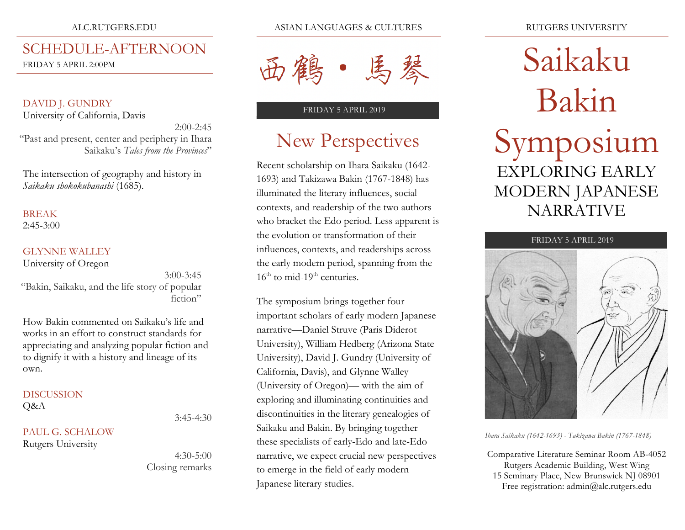#### ALC.RUTGERS.EDU

## SCHEDULE-AFTERNOON

FRIDAY 5 APRIL 2:00PM

DAVID J. GUNDRY University of California, Davis

"Past and present, center and periphery in Ihara Saikaku's *Tales from the Provinces*"

2:00-2:45

3:45-4:30

4:30-5:00

Closing remarks

The intersection of geography and history in *Saikaku shokokubanashi* (1685).

#### BREAK

 $2:45-3:00$ 

#### GLYNNE WALLEY

University of Oregon

3:00-3:45 "Bakin, Saikaku, and the life story of popular fiction"

How Bakin commented on Saikaku's life and works in an effort to construct standards for appreciating and analyzing popular fiction and to dignify it with a history and lineage of its own.

## **DISCUSSION**

Q&A

PAUL G. SCHALOW Rutgers University

ASIAN LANGUAGES & CULTURES



#### FRIDAY 5 APRIL 2019

# New Perspectives

Recent scholarship on Ihara Saikaku (1642- 1693) and Takizawa Bakin (1767-1848) has illuminated the literary influences, social contexts, and readership of the two authors who bracket the Edo period. Less apparent is the evolution or transformation of their influences, contexts, and readerships across the early modern period, spanning from the  $16<sup>th</sup>$  to mid-19<sup>th</sup> centuries.

The symposium brings together four important scholars of early modern Japanese narrative—Daniel Struve (Paris Diderot University), William Hedberg (Arizona State University), David J. Gundry (University of California, Davis), and Glynne Walley (University of Oregon)— with the aim of exploring and illuminating continuities and discontinuities in the literary genealogies of Saikaku and Bakin. By bringing together these specialists of early-Edo and late-Edo narrative, we expect crucial new perspectives to emerge in the field of early modern Japanese literary studies.

# Saikaku Bakin Symposium EXPLORING EARLY MODERN JAPANESE **NARRATIVE**



*Ihara Saikaku (1642-1693) - Takizawa Bakin (1767-1848)*

Comparative Literature Seminar Room AB-4052 Rutgers Academic Building, West Wing 15 Seminary Place, New Brunswick NJ 08901 Free registration: admin@alc.rutgers.edu